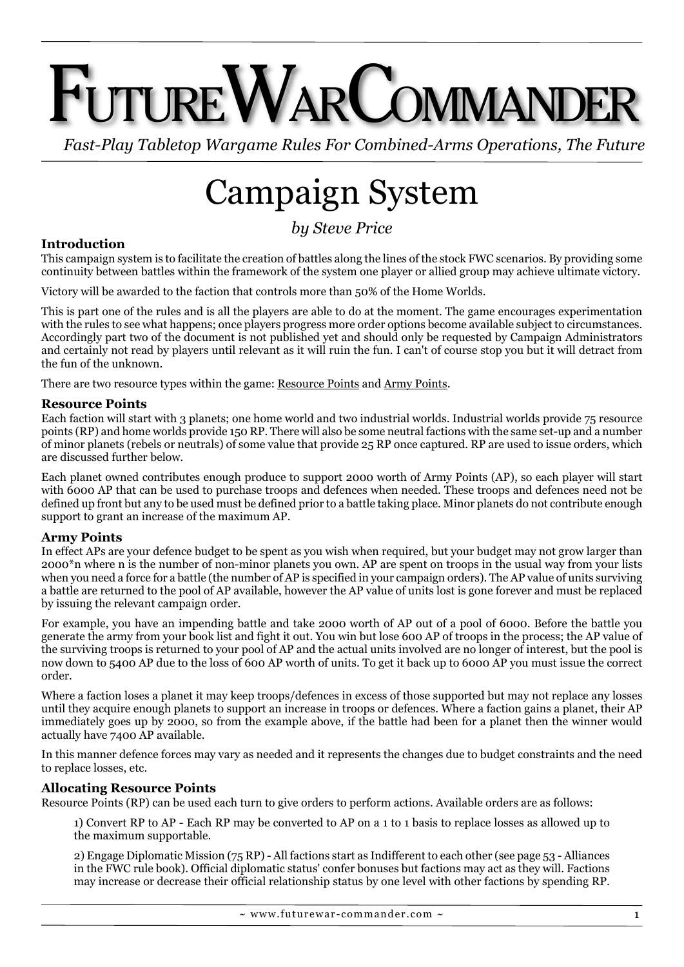# $T$ uture $\mathsf{W}$ ar $\mathsf{Comman}$ der

*Fast-Play Tabletop Wargame Rules For Combined-Arms Operations, The Future*

## Campaign System

### *by Steve Price*

#### **Introduction**

This campaign system is to facilitate the creation of battles along the lines of the stock FWC scenarios. By providing some continuity between battles within the framework of the system one player or allied group may achieve ultimate victory.

Victory will be awarded to the faction that controls more than 50% of the Home Worlds.

This is part one of the rules and is all the players are able to do at the moment. The game encourages experimentation with the rules to see what happens; once players progress more order options become available subject to circumstances. Accordingly part two of the document is not published yet and should only be requested by Campaign Administrators and certainly not read by players until relevant as it will ruin the fun. I can't of course stop you but it will detract from the fun of the unknown.

There are two resource types within the game: Resource Points and Army Points.

#### **Resource Points**

Each faction will start with 3 planets; one home world and two industrial worlds. Industrial worlds provide 75 resource points (RP) and home worlds provide 150 RP. There will also be some neutral factions with the same set-up and a number of minor planets (rebels or neutrals) of some value that provide 25 RP once captured. RP are used to issue orders, which are discussed further below.

Each planet owned contributes enough produce to support 2000 worth of Army Points (AP), so each player will start with 6000 AP that can be used to purchase troops and defences when needed. These troops and defences need not be defined up front but any to be used must be defined prior to a battle taking place. Minor planets do not contribute enough support to grant an increase of the maximum AP.

#### **Army Points**

In effect APs are your defence budget to be spent as you wish when required, but your budget may not grow larger than 2000\*n where n is the number of non-minor planets you own. AP are spent on troops in the usual way from your lists when you need a force for a battle (the number of AP is specified in your campaign orders). The AP value of units surviving a battle are returned to the pool of AP available, however the AP value of units lost is gone forever and must be replaced by issuing the relevant campaign order.

For example, you have an impending battle and take 2000 worth of AP out of a pool of 6000. Before the battle you generate the army from your book list and fight it out. You win but lose 600 AP of troops in the process; the AP value of the surviving troops is returned to your pool of AP and the actual units involved are no longer of interest, but the pool is now down to 5400 AP due to the loss of 600 AP worth of units. To get it back up to 6000 AP you must issue the correct order.

Where a faction loses a planet it may keep troops/defences in excess of those supported but may not replace any losses until they acquire enough planets to support an increase in troops or defences. Where a faction gains a planet, their AP immediately goes up by 2000, so from the example above, if the battle had been for a planet then the winner would actually have 7400 AP available.

In this manner defence forces may vary as needed and it represents the changes due to budget constraints and the need to replace losses, etc.

#### **Allocating Resource Points**

Resource Points (RP) can be used each turn to give orders to perform actions. Available orders are as follows:

1) Convert RP to AP - Each RP may be converted to AP on a 1 to 1 basis to replace losses as allowed up to the maximum supportable.

2) Engage Diplomatic Mission (75 RP) - All factions start as Indifferent to each other (see page 53 - Alliances in the FWC rule book). Official diplomatic status' confer bonuses but factions may act as they will. Factions may increase or decrease their official relationship status by one level with other factions by spending RP.

 $\sim$  www.futurewar-commander.com  $\sim$  1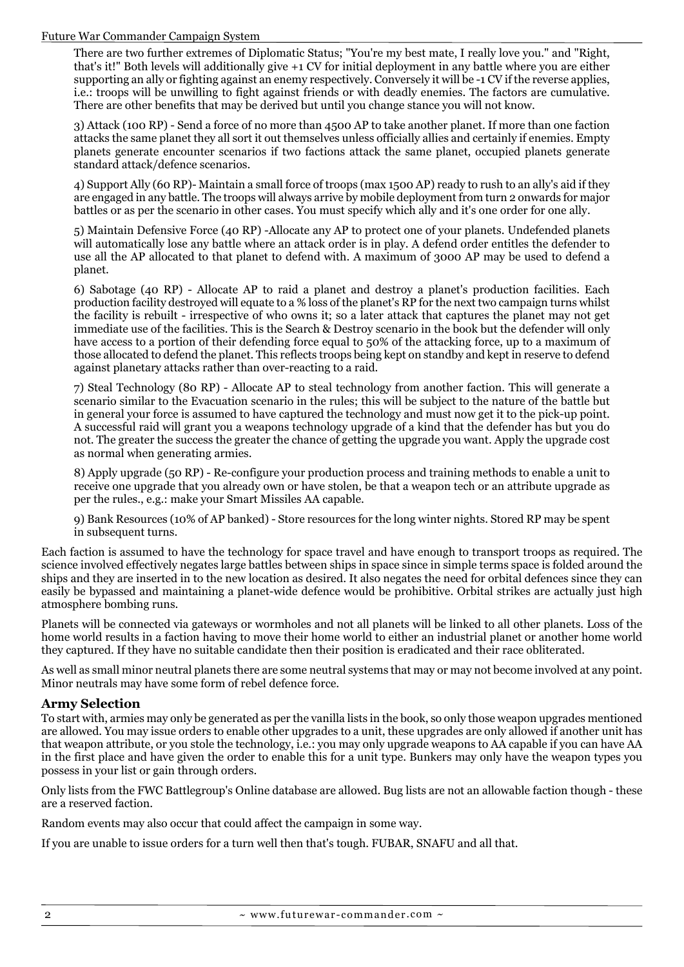#### Future War Commander Campaign System

There are two further extremes of Diplomatic Status; "You're my best mate, I really love you." and "Right, that's it!" Both levels will additionally give +1 CV for initial deployment in any battle where you are either supporting an ally or fighting against an enemy respectively. Conversely it will be -1 CV if the reverse applies, i.e.: troops will be unwilling to fight against friends or with deadly enemies. The factors are cumulative. There are other benefits that may be derived but until you change stance you will not know.

3) Attack (100 RP) - Send a force of no more than 4500 AP to take another planet. If more than one faction attacks the same planet they all sort it out themselves unless officially allies and certainly if enemies. Empty planets generate encounter scenarios if two factions attack the same planet, occupied planets generate standard attack/defence scenarios.

4) Support Ally (60 RP)- Maintain a small force of troops (max 1500 AP) ready to rush to an ally's aid if they are engaged in any battle. The troops will always arrive by mobile deployment from turn 2 onwards for major battles or as per the scenario in other cases. You must specify which ally and it's one order for one ally.

5) Maintain Defensive Force (40 RP) -Allocate any AP to protect one of your planets. Undefended planets will automatically lose any battle where an attack order is in play. A defend order entitles the defender to use all the AP allocated to that planet to defend with. A maximum of 3000 AP may be used to defend a planet.

6) Sabotage (40 RP) - Allocate AP to raid a planet and destroy a planet's production facilities. Each production facility destroyed will equate to a % loss of the planet's RP for the next two campaign turns whilst the facility is rebuilt - irrespective of who owns it; so a later attack that captures the planet may not get immediate use of the facilities. This is the Search & Destroy scenario in the book but the defender will only have access to a portion of their defending force equal to 50% of the attacking force, up to a maximum of those allocated to defend the planet. This reflects troops being kept on standby and kept in reserve to defend against planetary attacks rather than over-reacting to a raid.

7) Steal Technology (80 RP) - Allocate AP to steal technology from another faction. This will generate a scenario similar to the Evacuation scenario in the rules; this will be subject to the nature of the battle but in general your force is assumed to have captured the technology and must now get it to the pick-up point. A successful raid will grant you a weapons technology upgrade of a kind that the defender has but you do not. The greater the success the greater the chance of getting the upgrade you want. Apply the upgrade cost as normal when generating armies.

8) Apply upgrade (50 RP) - Re-configure your production process and training methods to enable a unit to receive one upgrade that you already own or have stolen, be that a weapon tech or an attribute upgrade as per the rules., e.g.: make your Smart Missiles AA capable.

9) Bank Resources (10% of AP banked) - Store resources for the long winter nights. Stored RP may be spent in subsequent turns.

Each faction is assumed to have the technology for space travel and have enough to transport troops as required. The science involved effectively negates large battles between ships in space since in simple terms space is folded around the ships and they are inserted in to the new location as desired. It also negates the need for orbital defences since they can easily be bypassed and maintaining a planet-wide defence would be prohibitive. Orbital strikes are actually just high atmosphere bombing runs.

Planets will be connected via gateways or wormholes and not all planets will be linked to all other planets. Loss of the home world results in a faction having to move their home world to either an industrial planet or another home world they captured. If they have no suitable candidate then their position is eradicated and their race obliterated.

As well as small minor neutral planets there are some neutral systems that may or may not become involved at any point. Minor neutrals may have some form of rebel defence force.

#### **Army Selection**

To start with, armies may only be generated as per the vanilla lists in the book, so only those weapon upgrades mentioned are allowed. You may issue orders to enable other upgrades to a unit, these upgrades are only allowed if another unit has that weapon attribute, or you stole the technology, i.e.: you may only upgrade weapons to AA capable if you can have AA in the first place and have given the order to enable this for a unit type. Bunkers may only have the weapon types you possess in your list or gain through orders.

Only lists from the FWC Battlegroup's Online database are allowed. Bug lists are not an allowable faction though - these are a reserved faction.

Random events may also occur that could affect the campaign in some way.

If you are unable to issue orders for a turn well then that's tough. FUBAR, SNAFU and all that.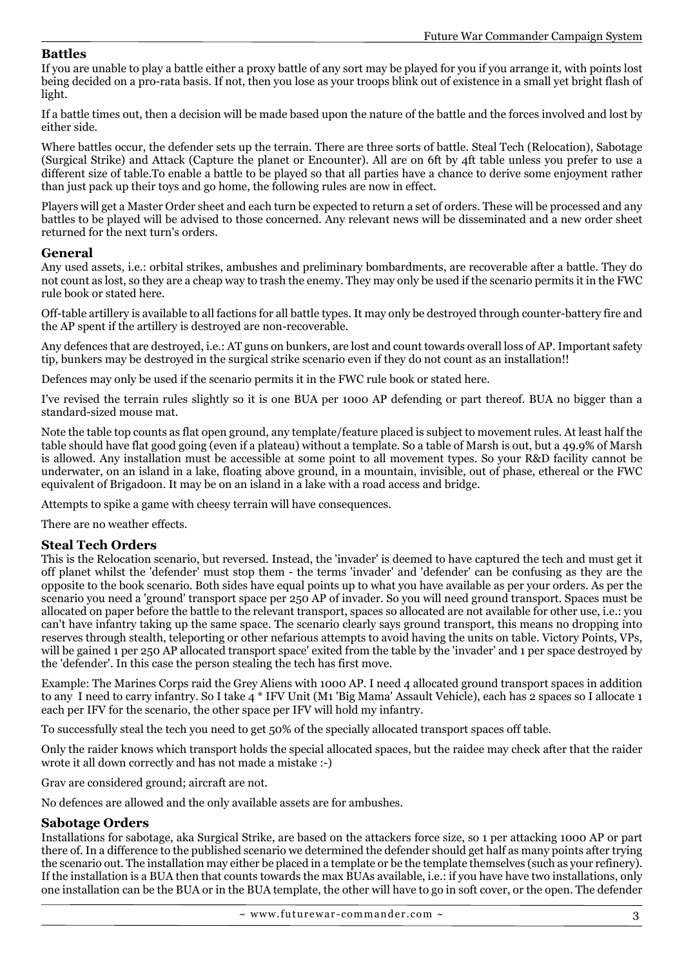#### **Battles**

If you are unable to play a battle either a proxy battle of any sort may be played for you if you arrange it, with points lost being decided on a pro-rata basis. If not, then you lose as your troops blink out of existence in a small yet bright flash of light.

If a battle times out, then a decision will be made based upon the nature of the battle and the forces involved and lost by either side.

Where battles occur, the defender sets up the terrain. There are three sorts of battle. Steal Tech (Relocation), Sabotage (Surgical Strike) and Attack (Capture the planet or Encounter). All are on 6ft by 4ft table unless you prefer to use a different size of table.To enable a battle to be played so that all parties have a chance to derive some enjoyment rather than just pack up their toys and go home, the following rules are now in effect.

Players will get a Master Order sheet and each turn be expected to return a set of orders. These will be processed and any battles to be played will be advised to those concerned. Any relevant news will be disseminated and a new order sheet returned for the next turn's orders.

#### **General**

Any used assets, i.e.: orbital strikes, ambushes and preliminary bombardments, are recoverable after a battle. They do not count as lost, so they are a cheap way to trash the enemy. They may only be used if the scenario permits it in the FWC rule book or stated here.

Off-table artillery is available to all factions for all battle types. It may only be destroyed through counter-battery fire and the AP spent if the artillery is destroyed are non-recoverable.

Any defences that are destroyed, i.e.: AT guns on bunkers, are lost and count towards overall loss of AP. Important safety tip, bunkers may be destroyed in the surgical strike scenario even if they do not count as an installation!!

Defences may only be used if the scenario permits it in the FWC rule book or stated here.

I've revised the terrain rules slightly so it is one BUA per 1000 AP defending or part thereof. BUA no bigger than a standard-sized mouse mat.

Note the table top counts as flat open ground, any template/feature placed is subject to movement rules. At least half the table should have flat good going (even if a plateau) without a template. So a table of Marsh is out, but a 49.9% of Marsh is allowed. Any installation must be accessible at some point to all movement types. So your R&D facility cannot be underwater, on an island in a lake, floating above ground, in a mountain, invisible, out of phase, ethereal or the FWC equivalent of Brigadoon. It may be on an island in a lake with a road access and bridge.

Attempts to spike a game with cheesy terrain will have consequences.

There are no weather effects.

#### **Steal Tech Orders**

This is the Relocation scenario, but reversed. Instead, the 'invader' is deemed to have captured the tech and must get it off planet whilst the 'defender' must stop them - the terms 'invader' and 'defender' can be confusing as they are the opposite to the book scenario. Both sides have equal points up to what you have available as per your orders. As per the scenario you need a 'ground' transport space per 250 AP of invader. So you will need ground transport. Spaces must be allocated on paper before the battle to the relevant transport, spaces so allocated are not available for other use, i.e.: you can't have infantry taking up the same space. The scenario clearly says ground transport, this means no dropping into reserves through stealth, teleporting or other nefarious attempts to avoid having the units on table. Victory Points, VPs, will be gained 1 per 250 AP allocated transport space' exited from the table by the 'invader' and 1 per space destroyed by the 'defender'. In this case the person stealing the tech has first move.

Example: The Marines Corps raid the Grey Aliens with 1000 AP. I need 4 allocated ground transport spaces in addition to any I need to carry infantry. So I take 4 \* IFV Unit (M1 'Big Mama' Assault Vehicle), each has 2 spaces so I allocate 1 each per IFV for the scenario, the other space per IFV will hold my infantry.

To successfully steal the tech you need to get 50% of the specially allocated transport spaces off table.

Only the raider knows which transport holds the special allocated spaces, but the raidee may check after that the raider wrote it all down correctly and has not made a mistake :-)

Grav are considered ground; aircraft are not.

No defences are allowed and the only available assets are for ambushes.

#### **Sabotage Orders**

Installations for sabotage, aka Surgical Strike, are based on the attackers force size, so 1 per attacking 1000 AP or part there of. In a difference to the published scenario we determined the defender should get half as many points after trying the scenario out. The installation may either be placed in a template or be the template themselves (such as your refinery). If the installation is a BUA then that counts towards the max BUAs available, i.e.: if you have have two installations, only one installation can be the BUA or in the BUA template, the other will have to go in soft cover, or the open. The defender